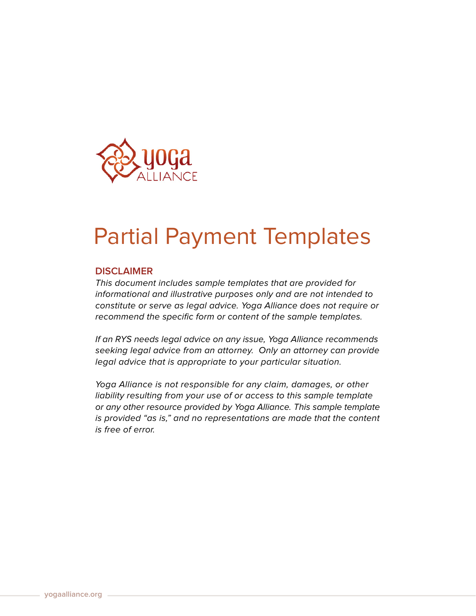

# Partial Payment Templates

# **DISCLAIMER**

This document includes sample templates that are provided for informational and illustrative purposes only and are not intended to constitute or serve as legal advice. Yoga Alliance does not require or recommend the specific form or content of the sample templates.

If an RYS needs legal advice on any issue, Yoga Alliance recommends seeking legal advice from an attorney. Only an attorney can provide legal advice that is appropriate to your particular situation.

Yoga Alliance is not responsible for any claim, damages, or other liability resulting from your use of or access to this sample template or any other resource provided by Yoga Alliance. This sample template is provided "as is," and no representations are made that the content is free of error.